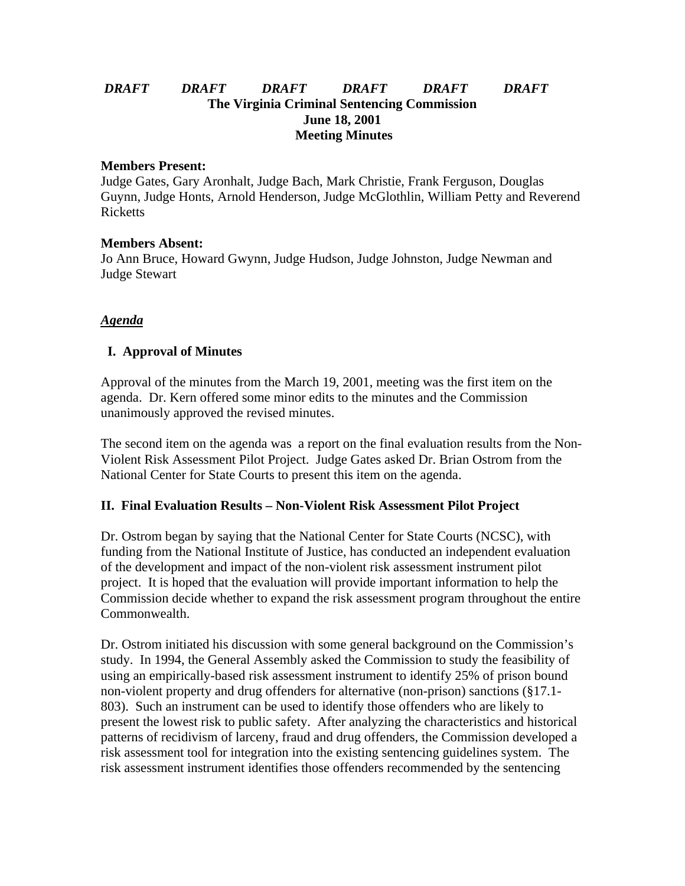## *DRAFT DRAFT DRAFT DRAFT DRAFT DRAFT* **The Virginia Criminal Sentencing Commission June 18, 2001 Meeting Minutes**

#### **Members Present:**

Judge Gates, Gary Aronhalt, Judge Bach, Mark Christie, Frank Ferguson, Douglas Guynn, Judge Honts, Arnold Henderson, Judge McGlothlin, William Petty and Reverend Ricketts

### **Members Absent:**

Jo Ann Bruce, Howard Gwynn, Judge Hudson, Judge Johnston, Judge Newman and Judge Stewart

### *Agenda*

## **I. Approval of Minutes**

Approval of the minutes from the March 19, 2001, meeting was the first item on the agenda. Dr. Kern offered some minor edits to the minutes and the Commission unanimously approved the revised minutes.

The second item on the agenda was a report on the final evaluation results from the Non-Violent Risk Assessment Pilot Project. Judge Gates asked Dr. Brian Ostrom from the National Center for State Courts to present this item on the agenda.

### **II. Final Evaluation Results – Non-Violent Risk Assessment Pilot Project**

Dr. Ostrom began by saying that the National Center for State Courts (NCSC), with funding from the National Institute of Justice, has conducted an independent evaluation of the development and impact of the non-violent risk assessment instrument pilot project. It is hoped that the evaluation will provide important information to help the Commission decide whether to expand the risk assessment program throughout the entire Commonwealth.

Dr. Ostrom initiated his discussion with some general background on the Commission's study. In 1994, the General Assembly asked the Commission to study the feasibility of using an empirically-based risk assessment instrument to identify 25% of prison bound non-violent property and drug offenders for alternative (non-prison) sanctions (§17.1- 803). Such an instrument can be used to identify those offenders who are likely to present the lowest risk to public safety. After analyzing the characteristics and historical patterns of recidivism of larceny, fraud and drug offenders, the Commission developed a risk assessment tool for integration into the existing sentencing guidelines system. The risk assessment instrument identifies those offenders recommended by the sentencing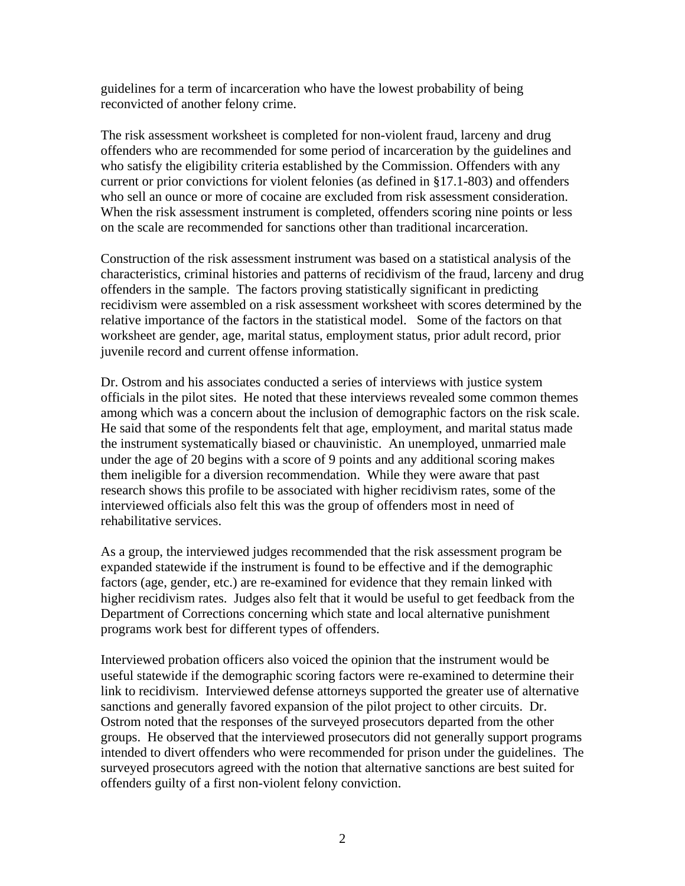guidelines for a term of incarceration who have the lowest probability of being reconvicted of another felony crime.

The risk assessment worksheet is completed for non-violent fraud, larceny and drug offenders who are recommended for some period of incarceration by the guidelines and who satisfy the eligibility criteria established by the Commission. Offenders with any current or prior convictions for violent felonies (as defined in §17.1-803) and offenders who sell an ounce or more of cocaine are excluded from risk assessment consideration. When the risk assessment instrument is completed, offenders scoring nine points or less on the scale are recommended for sanctions other than traditional incarceration.

Construction of the risk assessment instrument was based on a statistical analysis of the characteristics, criminal histories and patterns of recidivism of the fraud, larceny and drug offenders in the sample. The factors proving statistically significant in predicting recidivism were assembled on a risk assessment worksheet with scores determined by the relative importance of the factors in the statistical model. Some of the factors on that worksheet are gender, age, marital status, employment status, prior adult record, prior juvenile record and current offense information.

Dr. Ostrom and his associates conducted a series of interviews with justice system officials in the pilot sites. He noted that these interviews revealed some common themes among which was a concern about the inclusion of demographic factors on the risk scale. He said that some of the respondents felt that age, employment, and marital status made the instrument systematically biased or chauvinistic. An unemployed, unmarried male under the age of 20 begins with a score of 9 points and any additional scoring makes them ineligible for a diversion recommendation. While they were aware that past research shows this profile to be associated with higher recidivism rates, some of the interviewed officials also felt this was the group of offenders most in need of rehabilitative services.

As a group, the interviewed judges recommended that the risk assessment program be expanded statewide if the instrument is found to be effective and if the demographic factors (age, gender, etc.) are re-examined for evidence that they remain linked with higher recidivism rates. Judges also felt that it would be useful to get feedback from the Department of Corrections concerning which state and local alternative punishment programs work best for different types of offenders.

Interviewed probation officers also voiced the opinion that the instrument would be useful statewide if the demographic scoring factors were re-examined to determine their link to recidivism. Interviewed defense attorneys supported the greater use of alternative sanctions and generally favored expansion of the pilot project to other circuits. Dr. Ostrom noted that the responses of the surveyed prosecutors departed from the other groups. He observed that the interviewed prosecutors did not generally support programs intended to divert offenders who were recommended for prison under the guidelines. The surveyed prosecutors agreed with the notion that alternative sanctions are best suited for offenders guilty of a first non-violent felony conviction.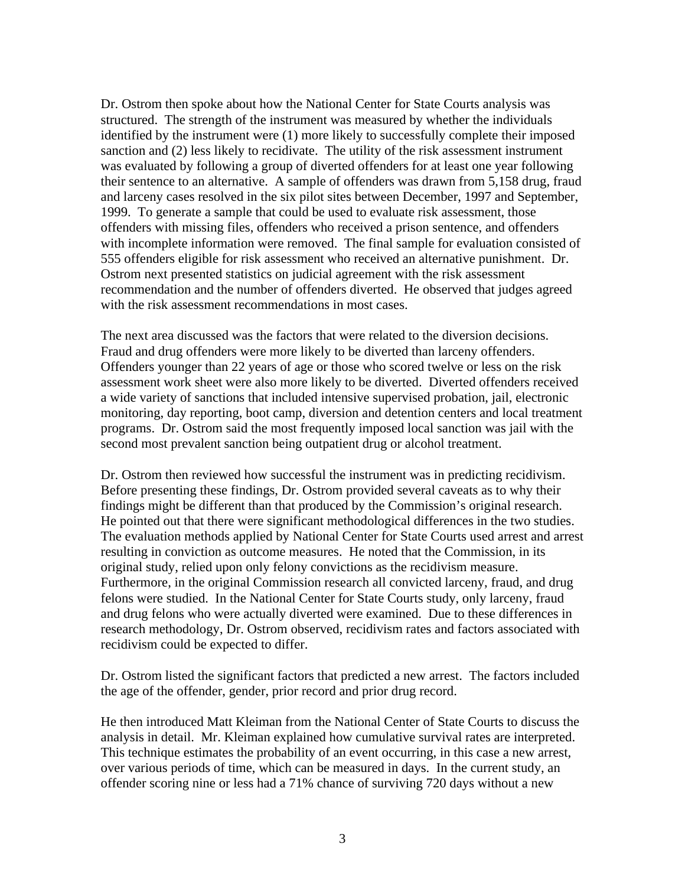Dr. Ostrom then spoke about how the National Center for State Courts analysis was structured. The strength of the instrument was measured by whether the individuals identified by the instrument were (1) more likely to successfully complete their imposed sanction and (2) less likely to recidivate. The utility of the risk assessment instrument was evaluated by following a group of diverted offenders for at least one year following their sentence to an alternative. A sample of offenders was drawn from 5,158 drug, fraud and larceny cases resolved in the six pilot sites between December, 1997 and September, 1999. To generate a sample that could be used to evaluate risk assessment, those offenders with missing files, offenders who received a prison sentence, and offenders with incomplete information were removed. The final sample for evaluation consisted of 555 offenders eligible for risk assessment who received an alternative punishment. Dr. Ostrom next presented statistics on judicial agreement with the risk assessment recommendation and the number of offenders diverted. He observed that judges agreed with the risk assessment recommendations in most cases.

The next area discussed was the factors that were related to the diversion decisions. Fraud and drug offenders were more likely to be diverted than larceny offenders. Offenders younger than 22 years of age or those who scored twelve or less on the risk assessment work sheet were also more likely to be diverted. Diverted offenders received a wide variety of sanctions that included intensive supervised probation, jail, electronic monitoring, day reporting, boot camp, diversion and detention centers and local treatment programs. Dr. Ostrom said the most frequently imposed local sanction was jail with the second most prevalent sanction being outpatient drug or alcohol treatment.

Dr. Ostrom then reviewed how successful the instrument was in predicting recidivism. Before presenting these findings, Dr. Ostrom provided several caveats as to why their findings might be different than that produced by the Commission's original research. He pointed out that there were significant methodological differences in the two studies. The evaluation methods applied by National Center for State Courts used arrest and arrest resulting in conviction as outcome measures. He noted that the Commission, in its original study, relied upon only felony convictions as the recidivism measure. Furthermore, in the original Commission research all convicted larceny, fraud, and drug felons were studied. In the National Center for State Courts study, only larceny, fraud and drug felons who were actually diverted were examined. Due to these differences in research methodology, Dr. Ostrom observed, recidivism rates and factors associated with recidivism could be expected to differ.

Dr. Ostrom listed the significant factors that predicted a new arrest. The factors included the age of the offender, gender, prior record and prior drug record.

He then introduced Matt Kleiman from the National Center of State Courts to discuss the analysis in detail. Mr. Kleiman explained how cumulative survival rates are interpreted. This technique estimates the probability of an event occurring, in this case a new arrest, over various periods of time, which can be measured in days. In the current study, an offender scoring nine or less had a 71% chance of surviving 720 days without a new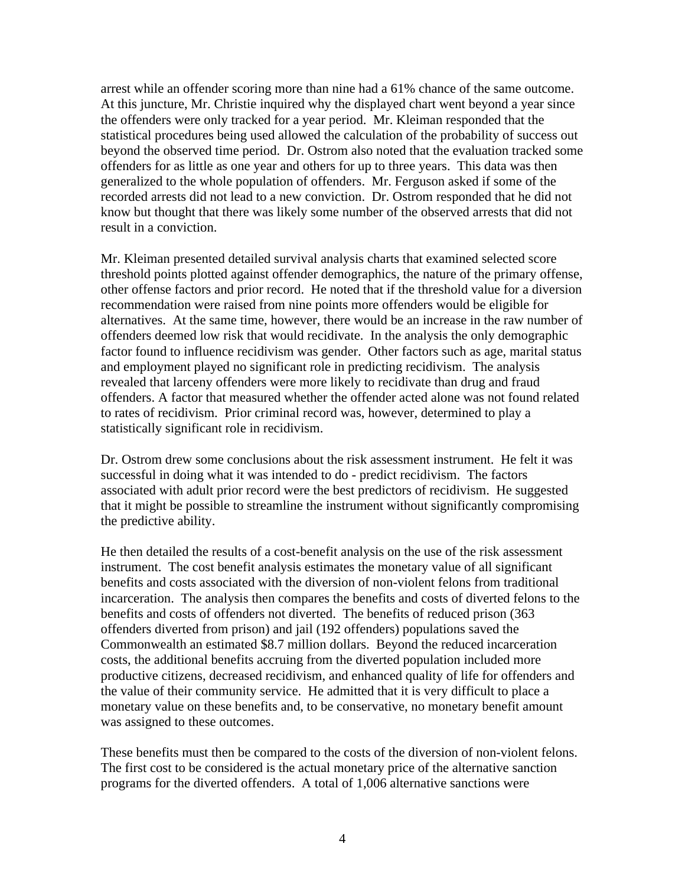arrest while an offender scoring more than nine had a 61% chance of the same outcome. At this juncture, Mr. Christie inquired why the displayed chart went beyond a year since the offenders were only tracked for a year period. Mr. Kleiman responded that the statistical procedures being used allowed the calculation of the probability of success out beyond the observed time period. Dr. Ostrom also noted that the evaluation tracked some offenders for as little as one year and others for up to three years. This data was then generalized to the whole population of offenders. Mr. Ferguson asked if some of the recorded arrests did not lead to a new conviction. Dr. Ostrom responded that he did not know but thought that there was likely some number of the observed arrests that did not result in a conviction.

Mr. Kleiman presented detailed survival analysis charts that examined selected score threshold points plotted against offender demographics, the nature of the primary offense, other offense factors and prior record. He noted that if the threshold value for a diversion recommendation were raised from nine points more offenders would be eligible for alternatives. At the same time, however, there would be an increase in the raw number of offenders deemed low risk that would recidivate. In the analysis the only demographic factor found to influence recidivism was gender. Other factors such as age, marital status and employment played no significant role in predicting recidivism. The analysis revealed that larceny offenders were more likely to recidivate than drug and fraud offenders. A factor that measured whether the offender acted alone was not found related to rates of recidivism. Prior criminal record was, however, determined to play a statistically significant role in recidivism.

Dr. Ostrom drew some conclusions about the risk assessment instrument. He felt it was successful in doing what it was intended to do - predict recidivism. The factors associated with adult prior record were the best predictors of recidivism. He suggested that it might be possible to streamline the instrument without significantly compromising the predictive ability.

He then detailed the results of a cost-benefit analysis on the use of the risk assessment instrument. The cost benefit analysis estimates the monetary value of all significant benefits and costs associated with the diversion of non-violent felons from traditional incarceration. The analysis then compares the benefits and costs of diverted felons to the benefits and costs of offenders not diverted. The benefits of reduced prison (363 offenders diverted from prison) and jail (192 offenders) populations saved the Commonwealth an estimated \$8.7 million dollars. Beyond the reduced incarceration costs, the additional benefits accruing from the diverted population included more productive citizens, decreased recidivism, and enhanced quality of life for offenders and the value of their community service. He admitted that it is very difficult to place a monetary value on these benefits and, to be conservative, no monetary benefit amount was assigned to these outcomes.

These benefits must then be compared to the costs of the diversion of non-violent felons. The first cost to be considered is the actual monetary price of the alternative sanction programs for the diverted offenders. A total of 1,006 alternative sanctions were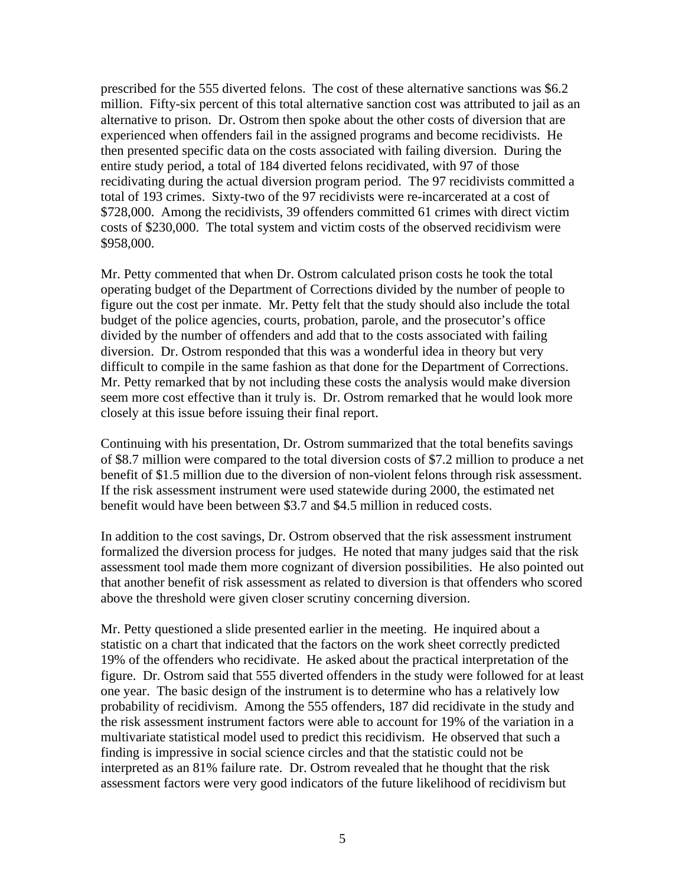prescribed for the 555 diverted felons. The cost of these alternative sanctions was \$6.2 million. Fifty-six percent of this total alternative sanction cost was attributed to jail as an alternative to prison. Dr. Ostrom then spoke about the other costs of diversion that are experienced when offenders fail in the assigned programs and become recidivists. He then presented specific data on the costs associated with failing diversion. During the entire study period, a total of 184 diverted felons recidivated, with 97 of those recidivating during the actual diversion program period. The 97 recidivists committed a total of 193 crimes. Sixty-two of the 97 recidivists were re-incarcerated at a cost of \$728,000. Among the recidivists, 39 offenders committed 61 crimes with direct victim costs of \$230,000. The total system and victim costs of the observed recidivism were \$958,000.

Mr. Petty commented that when Dr. Ostrom calculated prison costs he took the total operating budget of the Department of Corrections divided by the number of people to figure out the cost per inmate. Mr. Petty felt that the study should also include the total budget of the police agencies, courts, probation, parole, and the prosecutor's office divided by the number of offenders and add that to the costs associated with failing diversion. Dr. Ostrom responded that this was a wonderful idea in theory but very difficult to compile in the same fashion as that done for the Department of Corrections. Mr. Petty remarked that by not including these costs the analysis would make diversion seem more cost effective than it truly is. Dr. Ostrom remarked that he would look more closely at this issue before issuing their final report.

Continuing with his presentation, Dr. Ostrom summarized that the total benefits savings of \$8.7 million were compared to the total diversion costs of \$7.2 million to produce a net benefit of \$1.5 million due to the diversion of non-violent felons through risk assessment. If the risk assessment instrument were used statewide during 2000, the estimated net benefit would have been between \$3.7 and \$4.5 million in reduced costs.

In addition to the cost savings, Dr. Ostrom observed that the risk assessment instrument formalized the diversion process for judges. He noted that many judges said that the risk assessment tool made them more cognizant of diversion possibilities. He also pointed out that another benefit of risk assessment as related to diversion is that offenders who scored above the threshold were given closer scrutiny concerning diversion.

Mr. Petty questioned a slide presented earlier in the meeting. He inquired about a statistic on a chart that indicated that the factors on the work sheet correctly predicted 19% of the offenders who recidivate. He asked about the practical interpretation of the figure. Dr. Ostrom said that 555 diverted offenders in the study were followed for at least one year. The basic design of the instrument is to determine who has a relatively low probability of recidivism. Among the 555 offenders, 187 did recidivate in the study and the risk assessment instrument factors were able to account for 19% of the variation in a multivariate statistical model used to predict this recidivism. He observed that such a finding is impressive in social science circles and that the statistic could not be interpreted as an 81% failure rate. Dr. Ostrom revealed that he thought that the risk assessment factors were very good indicators of the future likelihood of recidivism but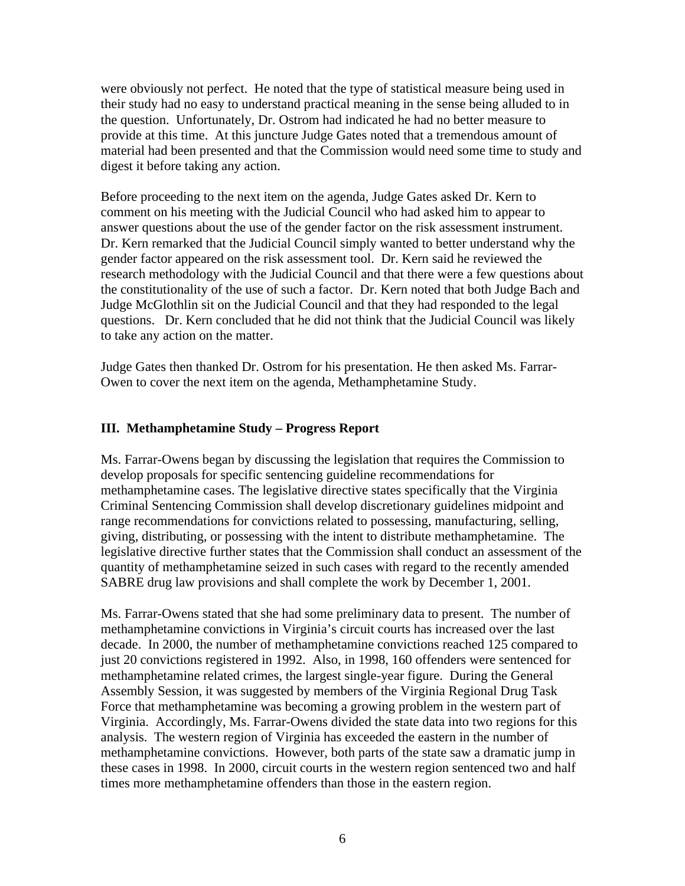were obviously not perfect. He noted that the type of statistical measure being used in their study had no easy to understand practical meaning in the sense being alluded to in the question. Unfortunately, Dr. Ostrom had indicated he had no better measure to provide at this time. At this juncture Judge Gates noted that a tremendous amount of material had been presented and that the Commission would need some time to study and digest it before taking any action.

Before proceeding to the next item on the agenda, Judge Gates asked Dr. Kern to comment on his meeting with the Judicial Council who had asked him to appear to answer questions about the use of the gender factor on the risk assessment instrument. Dr. Kern remarked that the Judicial Council simply wanted to better understand why the gender factor appeared on the risk assessment tool. Dr. Kern said he reviewed the research methodology with the Judicial Council and that there were a few questions about the constitutionality of the use of such a factor. Dr. Kern noted that both Judge Bach and Judge McGlothlin sit on the Judicial Council and that they had responded to the legal questions. Dr. Kern concluded that he did not think that the Judicial Council was likely to take any action on the matter.

Judge Gates then thanked Dr. Ostrom for his presentation. He then asked Ms. Farrar-Owen to cover the next item on the agenda, Methamphetamine Study.

# **III. Methamphetamine Study – Progress Report**

Ms. Farrar-Owens began by discussing the legislation that requires the Commission to develop proposals for specific sentencing guideline recommendations for methamphetamine cases. The legislative directive states specifically that the Virginia Criminal Sentencing Commission shall develop discretionary guidelines midpoint and range recommendations for convictions related to possessing, manufacturing, selling, giving, distributing, or possessing with the intent to distribute methamphetamine. The legislative directive further states that the Commission shall conduct an assessment of the quantity of methamphetamine seized in such cases with regard to the recently amended SABRE drug law provisions and shall complete the work by December 1, 2001.

Ms. Farrar-Owens stated that she had some preliminary data to present. The number of methamphetamine convictions in Virginia's circuit courts has increased over the last decade. In 2000, the number of methamphetamine convictions reached 125 compared to just 20 convictions registered in 1992. Also, in 1998, 160 offenders were sentenced for methamphetamine related crimes, the largest single-year figure. During the General Assembly Session, it was suggested by members of the Virginia Regional Drug Task Force that methamphetamine was becoming a growing problem in the western part of Virginia. Accordingly, Ms. Farrar-Owens divided the state data into two regions for this analysis. The western region of Virginia has exceeded the eastern in the number of methamphetamine convictions. However, both parts of the state saw a dramatic jump in these cases in 1998. In 2000, circuit courts in the western region sentenced two and half times more methamphetamine offenders than those in the eastern region.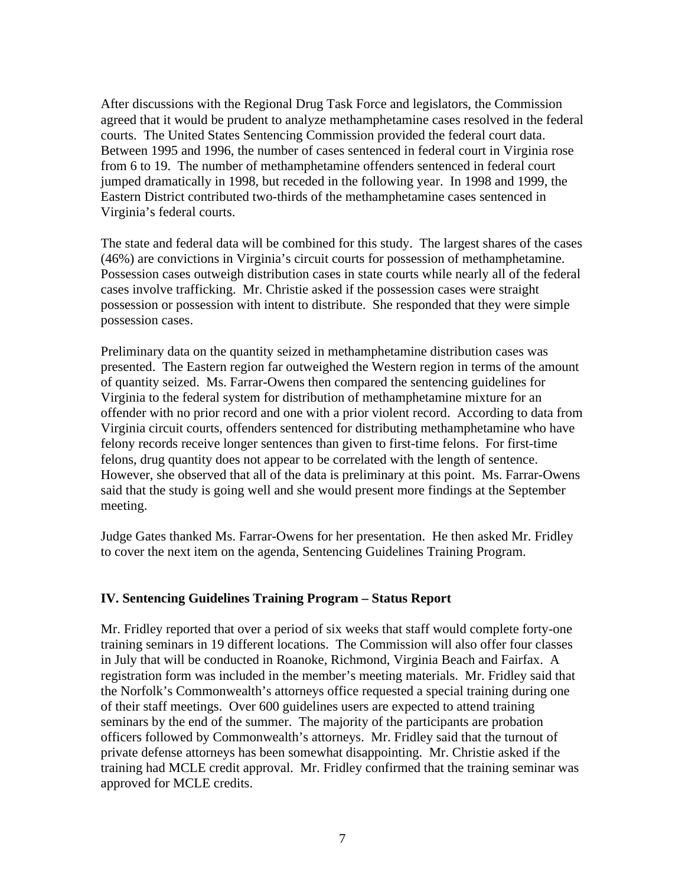After discussions with the Regional Drug Task Force and legislators, the Commission agreed that it would be prudent to analyze methamphetamine cases resolved in the federal courts. The United States Sentencing Commission provided the federal court data. Between 1995 and 1996, the number of cases sentenced in federal court in Virginia rose from 6 to 19. The number of methamphetamine offenders sentenced in federal court jumped dramatically in 1998, but receded in the following year. In 1998 and 1999, the Eastern District contributed two-thirds of the methamphetamine cases sentenced in Virginia's federal courts.

The state and federal data will be combined for this study. The largest shares of the cases (46%) are convictions in Virginia's circuit courts for possession of methamphetamine. Possession cases outweigh distribution cases in state courts while nearly all of the federal cases involve trafficking. Mr. Christie asked if the possession cases were straight possession or possession with intent to distribute. She responded that they were simple possession cases.

Preliminary data on the quantity seized in methamphetamine distribution cases was presented. The Eastern region far outweighed the Western region in terms of the amount of quantity seized. Ms. Farrar-Owens then compared the sentencing guidelines for Virginia to the federal system for distribution of methamphetamine mixture for an offender with no prior record and one with a prior violent record. According to data from Virginia circuit courts, offenders sentenced for distributing methamphetamine who have felony records receive longer sentences than given to first-time felons. For first-time felons, drug quantity does not appear to be correlated with the length of sentence. However, she observed that all of the data is preliminary at this point. Ms. Farrar-Owens said that the study is going well and she would present more findings at the September meeting.

Judge Gates thanked Ms. Farrar-Owens for her presentation. He then asked Mr. Fridley to cover the next item on the agenda, Sentencing Guidelines Training Program.

### **IV. Sentencing Guidelines Training Program – Status Report**

Mr. Fridley reported that over a period of six weeks that staff would complete forty-one training seminars in 19 different locations. The Commission will also offer four classes in July that will be conducted in Roanoke, Richmond, Virginia Beach and Fairfax. A registration form was included in the member's meeting materials. Mr. Fridley said that the Norfolk's Commonwealth's attorneys office requested a special training during one of their staff meetings. Over 600 guidelines users are expected to attend training seminars by the end of the summer. The majority of the participants are probation officers followed by Commonwealth's attorneys. Mr. Fridley said that the turnout of private defense attorneys has been somewhat disappointing. Mr. Christie asked if the training had MCLE credit approval. Mr. Fridley confirmed that the training seminar was approved for MCLE credits.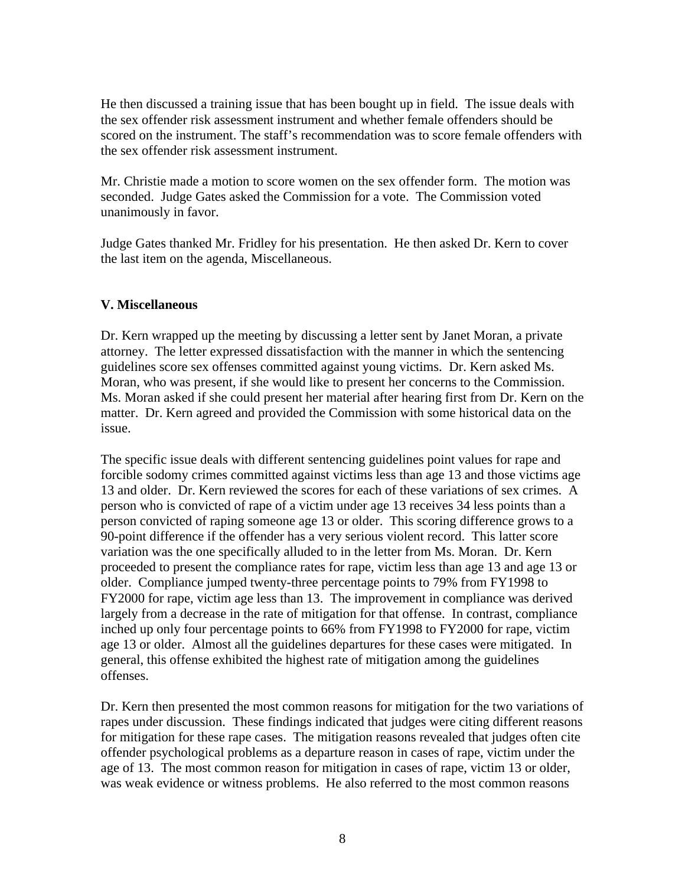He then discussed a training issue that has been bought up in field. The issue deals with the sex offender risk assessment instrument and whether female offenders should be scored on the instrument. The staff's recommendation was to score female offenders with the sex offender risk assessment instrument.

Mr. Christie made a motion to score women on the sex offender form. The motion was seconded. Judge Gates asked the Commission for a vote. The Commission voted unanimously in favor.

Judge Gates thanked Mr. Fridley for his presentation. He then asked Dr. Kern to cover the last item on the agenda, Miscellaneous.

## **V. Miscellaneous**

Dr. Kern wrapped up the meeting by discussing a letter sent by Janet Moran, a private attorney. The letter expressed dissatisfaction with the manner in which the sentencing guidelines score sex offenses committed against young victims. Dr. Kern asked Ms. Moran, who was present, if she would like to present her concerns to the Commission. Ms. Moran asked if she could present her material after hearing first from Dr. Kern on the matter. Dr. Kern agreed and provided the Commission with some historical data on the issue.

The specific issue deals with different sentencing guidelines point values for rape and forcible sodomy crimes committed against victims less than age 13 and those victims age 13 and older. Dr. Kern reviewed the scores for each of these variations of sex crimes. A person who is convicted of rape of a victim under age 13 receives 34 less points than a person convicted of raping someone age 13 or older. This scoring difference grows to a 90-point difference if the offender has a very serious violent record. This latter score variation was the one specifically alluded to in the letter from Ms. Moran. Dr. Kern proceeded to present the compliance rates for rape, victim less than age 13 and age 13 or older. Compliance jumped twenty-three percentage points to 79% from FY1998 to FY2000 for rape, victim age less than 13. The improvement in compliance was derived largely from a decrease in the rate of mitigation for that offense. In contrast, compliance inched up only four percentage points to 66% from FY1998 to FY2000 for rape, victim age 13 or older. Almost all the guidelines departures for these cases were mitigated. In general, this offense exhibited the highest rate of mitigation among the guidelines offenses.

Dr. Kern then presented the most common reasons for mitigation for the two variations of rapes under discussion. These findings indicated that judges were citing different reasons for mitigation for these rape cases. The mitigation reasons revealed that judges often cite offender psychological problems as a departure reason in cases of rape, victim under the age of 13. The most common reason for mitigation in cases of rape, victim 13 or older, was weak evidence or witness problems. He also referred to the most common reasons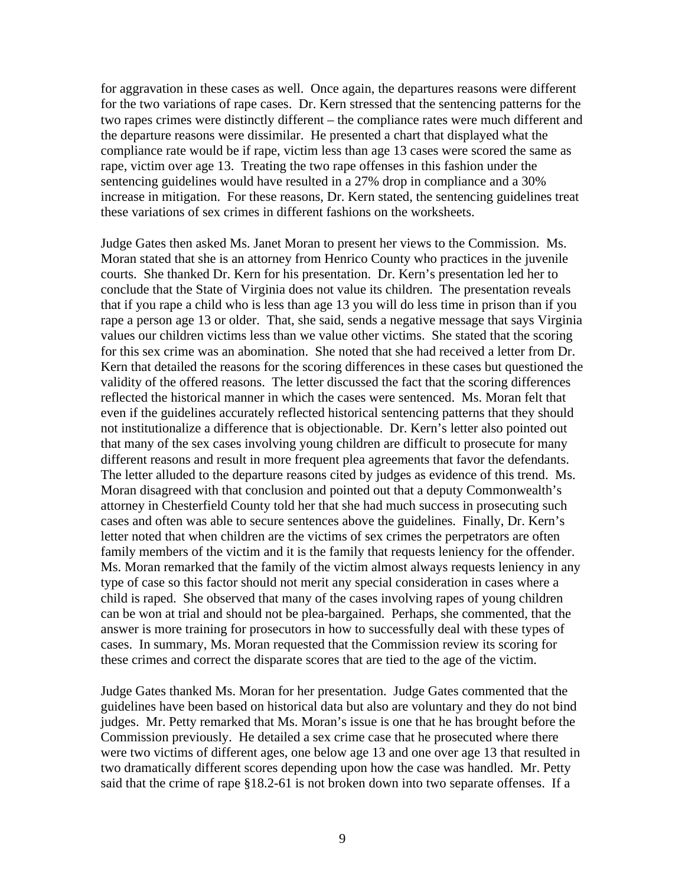for aggravation in these cases as well. Once again, the departures reasons were different for the two variations of rape cases. Dr. Kern stressed that the sentencing patterns for the two rapes crimes were distinctly different – the compliance rates were much different and the departure reasons were dissimilar. He presented a chart that displayed what the compliance rate would be if rape, victim less than age 13 cases were scored the same as rape, victim over age 13. Treating the two rape offenses in this fashion under the sentencing guidelines would have resulted in a 27% drop in compliance and a 30% increase in mitigation. For these reasons, Dr. Kern stated, the sentencing guidelines treat these variations of sex crimes in different fashions on the worksheets.

Judge Gates then asked Ms. Janet Moran to present her views to the Commission. Ms. Moran stated that she is an attorney from Henrico County who practices in the juvenile courts. She thanked Dr. Kern for his presentation. Dr. Kern's presentation led her to conclude that the State of Virginia does not value its children. The presentation reveals that if you rape a child who is less than age 13 you will do less time in prison than if you rape a person age 13 or older. That, she said, sends a negative message that says Virginia values our children victims less than we value other victims. She stated that the scoring for this sex crime was an abomination. She noted that she had received a letter from Dr. Kern that detailed the reasons for the scoring differences in these cases but questioned the validity of the offered reasons. The letter discussed the fact that the scoring differences reflected the historical manner in which the cases were sentenced. Ms. Moran felt that even if the guidelines accurately reflected historical sentencing patterns that they should not institutionalize a difference that is objectionable. Dr. Kern's letter also pointed out that many of the sex cases involving young children are difficult to prosecute for many different reasons and result in more frequent plea agreements that favor the defendants. The letter alluded to the departure reasons cited by judges as evidence of this trend. Ms. Moran disagreed with that conclusion and pointed out that a deputy Commonwealth's attorney in Chesterfield County told her that she had much success in prosecuting such cases and often was able to secure sentences above the guidelines. Finally, Dr. Kern's letter noted that when children are the victims of sex crimes the perpetrators are often family members of the victim and it is the family that requests leniency for the offender. Ms. Moran remarked that the family of the victim almost always requests leniency in any type of case so this factor should not merit any special consideration in cases where a child is raped. She observed that many of the cases involving rapes of young children can be won at trial and should not be plea-bargained. Perhaps, she commented, that the answer is more training for prosecutors in how to successfully deal with these types of cases. In summary, Ms. Moran requested that the Commission review its scoring for these crimes and correct the disparate scores that are tied to the age of the victim.

Judge Gates thanked Ms. Moran for her presentation. Judge Gates commented that the guidelines have been based on historical data but also are voluntary and they do not bind judges. Mr. Petty remarked that Ms. Moran's issue is one that he has brought before the Commission previously. He detailed a sex crime case that he prosecuted where there were two victims of different ages, one below age 13 and one over age 13 that resulted in two dramatically different scores depending upon how the case was handled. Mr. Petty said that the crime of rape §18.2-61 is not broken down into two separate offenses. If a